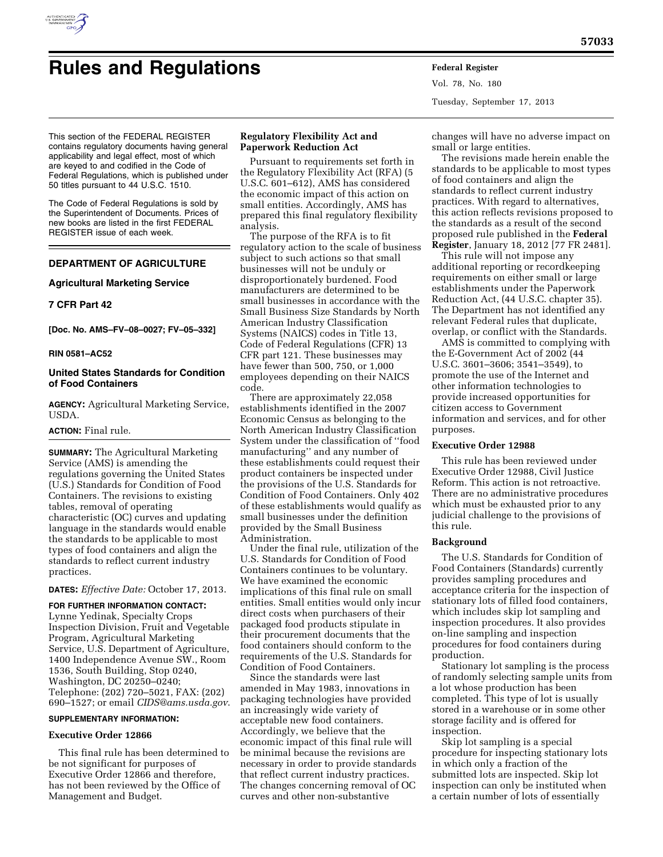

# **Rules and Regulations Federal Register**

Vol. 78, No. 180 Tuesday, September 17, 2013

This section of the FEDERAL REGISTER contains regulatory documents having general applicability and legal effect, most of which are keyed to and codified in the Code of Federal Regulations, which is published under 50 titles pursuant to 44 U.S.C. 1510.

The Code of Federal Regulations is sold by the Superintendent of Documents. Prices of new books are listed in the first FEDERAL REGISTER issue of each week.

### **DEPARTMENT OF AGRICULTURE**

#### **Agricultural Marketing Service**

#### **7 CFR Part 42**

**[Doc. No. AMS–FV–08–0027; FV–05–332]** 

#### **RIN 0581–AC52**

#### **United States Standards for Condition of Food Containers**

**AGENCY:** Agricultural Marketing Service, **USDA** 

#### **ACTION:** Final rule.

**SUMMARY:** The Agricultural Marketing Service (AMS) is amending the regulations governing the United States (U.S.) Standards for Condition of Food Containers. The revisions to existing tables, removal of operating characteristic (OC) curves and updating language in the standards would enable the standards to be applicable to most types of food containers and align the standards to reflect current industry practices.

#### **DATES:** *Effective Date:* October 17, 2013.

**FOR FURTHER INFORMATION CONTACT:**  Lynne Yedinak, Specialty Crops Inspection Division, Fruit and Vegetable Program, Agricultural Marketing Service, U.S. Department of Agriculture, 1400 Independence Avenue SW., Room 1536, South Building, Stop 0240, Washington, DC 20250–0240; Telephone: (202) 720–5021, FAX: (202) 690–1527; or email *[CIDS@ams.usda.gov](mailto:CIDS@ams.usda.gov)*.

#### **SUPPLEMENTARY INFORMATION:**

#### **Executive Order 12866**

This final rule has been determined to be not significant for purposes of Executive Order 12866 and therefore, has not been reviewed by the Office of Management and Budget.

#### **Regulatory Flexibility Act and Paperwork Reduction Act**

Pursuant to requirements set forth in the Regulatory Flexibility Act (RFA) (5 U.S.C. 601–612), AMS has considered the economic impact of this action on small entities. Accordingly, AMS has prepared this final regulatory flexibility analysis.

The purpose of the RFA is to fit regulatory action to the scale of business subject to such actions so that small businesses will not be unduly or disproportionately burdened. Food manufacturers are determined to be small businesses in accordance with the Small Business Size Standards by North American Industry Classification Systems (NAICS) codes in Title 13, Code of Federal Regulations (CFR) 13 CFR part 121. These businesses may have fewer than 500, 750, or 1,000 employees depending on their NAICS code.

There are approximately 22,058 establishments identified in the 2007 Economic Census as belonging to the North American Industry Classification System under the classification of ''food manufacturing'' and any number of these establishments could request their product containers be inspected under the provisions of the U.S. Standards for Condition of Food Containers. Only 402 of these establishments would qualify as small businesses under the definition provided by the Small Business Administration.

Under the final rule, utilization of the U.S. Standards for Condition of Food Containers continues to be voluntary. We have examined the economic implications of this final rule on small entities. Small entities would only incur direct costs when purchasers of their packaged food products stipulate in their procurement documents that the food containers should conform to the requirements of the U.S. Standards for Condition of Food Containers.

Since the standards were last amended in May 1983, innovations in packaging technologies have provided an increasingly wide variety of acceptable new food containers. Accordingly, we believe that the economic impact of this final rule will be minimal because the revisions are necessary in order to provide standards that reflect current industry practices. The changes concerning removal of OC curves and other non-substantive

changes will have no adverse impact on small or large entities.

The revisions made herein enable the standards to be applicable to most types of food containers and align the standards to reflect current industry practices. With regard to alternatives, this action reflects revisions proposed to the standards as a result of the second proposed rule published in the **Federal Register**, January 18, 2012 [77 FR 2481].

This rule will not impose any additional reporting or recordkeeping requirements on either small or large establishments under the Paperwork Reduction Act, (44 U.S.C. chapter 35). The Department has not identified any relevant Federal rules that duplicate, overlap, or conflict with the Standards.

AMS is committed to complying with the E-Government Act of 2002 (44 U.S.C. 3601–3606; 3541–3549), to promote the use of the Internet and other information technologies to provide increased opportunities for citizen access to Government information and services, and for other purposes.

#### **Executive Order 12988**

This rule has been reviewed under Executive Order 12988, Civil Justice Reform. This action is not retroactive. There are no administrative procedures which must be exhausted prior to any judicial challenge to the provisions of this rule.

#### **Background**

The U.S. Standards for Condition of Food Containers (Standards) currently provides sampling procedures and acceptance criteria for the inspection of stationary lots of filled food containers, which includes skip lot sampling and inspection procedures. It also provides on-line sampling and inspection procedures for food containers during production.

Stationary lot sampling is the process of randomly selecting sample units from a lot whose production has been completed. This type of lot is usually stored in a warehouse or in some other storage facility and is offered for inspection.

Skip lot sampling is a special procedure for inspecting stationary lots in which only a fraction of the submitted lots are inspected. Skip lot inspection can only be instituted when a certain number of lots of essentially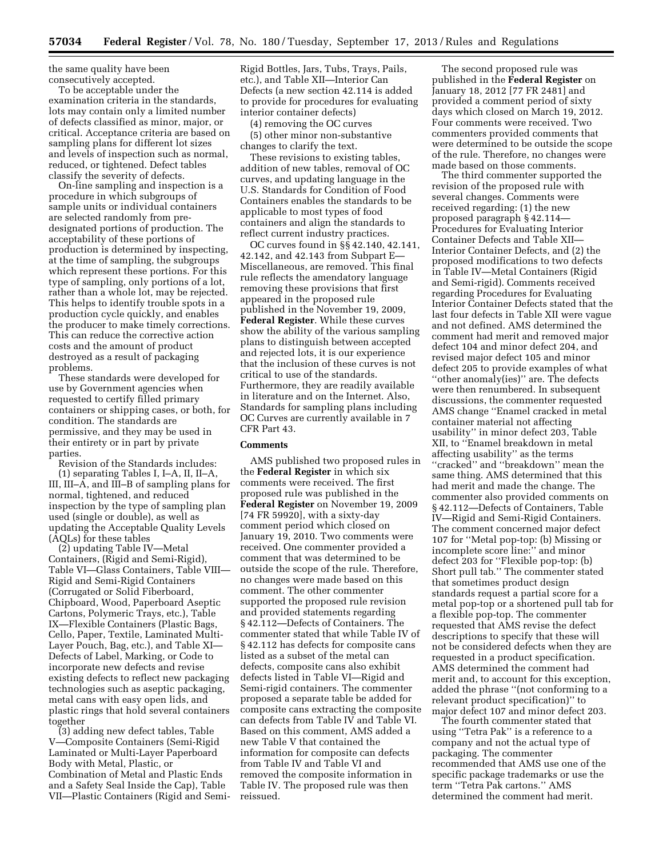the same quality have been consecutively accepted.

To be acceptable under the examination criteria in the standards, lots may contain only a limited number of defects classified as minor, major, or critical. Acceptance criteria are based on sampling plans for different lot sizes and levels of inspection such as normal, reduced, or tightened. Defect tables classify the severity of defects.

On-line sampling and inspection is a procedure in which subgroups of sample units or individual containers are selected randomly from predesignated portions of production. The acceptability of these portions of production is determined by inspecting, at the time of sampling, the subgroups which represent these portions. For this type of sampling, only portions of a lot, rather than a whole lot, may be rejected. This helps to identify trouble spots in a production cycle quickly, and enables the producer to make timely corrections. This can reduce the corrective action costs and the amount of product destroyed as a result of packaging problems.

These standards were developed for use by Government agencies when requested to certify filled primary containers or shipping cases, or both, for condition. The standards are permissive, and they may be used in their entirety or in part by private parties.

Revision of the Standards includes:

(1) separating Tables I, I–A, II, II–A, III, III–A, and III–B of sampling plans for normal, tightened, and reduced inspection by the type of sampling plan used (single or double), as well as updating the Acceptable Quality Levels (AQLs) for these tables

(2) updating Table IV—Metal Containers, (Rigid and Semi-Rigid), Table VI—Glass Containers, Table VIII— Rigid and Semi-Rigid Containers (Corrugated or Solid Fiberboard, Chipboard, Wood, Paperboard Aseptic Cartons, Polymeric Trays, etc.), Table IX—Flexible Containers (Plastic Bags, Cello, Paper, Textile, Laminated Multi-Layer Pouch, Bag, etc.), and Table XI— Defects of Label, Marking, or Code to incorporate new defects and revise existing defects to reflect new packaging technologies such as aseptic packaging, metal cans with easy open lids, and plastic rings that hold several containers together

(3) adding new defect tables, Table V—Composite Containers (Semi-Rigid Laminated or Multi-Layer Paperboard Body with Metal, Plastic, or Combination of Metal and Plastic Ends and a Safety Seal Inside the Cap), Table VII—Plastic Containers (Rigid and Semi-

Rigid Bottles, Jars, Tubs, Trays, Pails, etc.), and Table XII—Interior Can Defects (a new section 42.114 is added to provide for procedures for evaluating interior container defects)

(4) removing the OC curves

(5) other minor non-substantive changes to clarify the text.

These revisions to existing tables, addition of new tables, removal of OC curves, and updating language in the U.S. Standards for Condition of Food Containers enables the standards to be applicable to most types of food containers and align the standards to reflect current industry practices.

OC curves found in §§ 42.140, 42.141, 42.142, and 42.143 from Subpart E— Miscellaneous, are removed. This final rule reflects the amendatory language removing these provisions that first appeared in the proposed rule published in the November 19, 2009, **Federal Register**. While these curves show the ability of the various sampling plans to distinguish between accepted and rejected lots, it is our experience that the inclusion of these curves is not critical to use of the standards. Furthermore, they are readily available in literature and on the Internet. Also, Standards for sampling plans including OC Curves are currently available in 7 CFR Part 43.

#### **Comments**

AMS published two proposed rules in the **Federal Register** in which six comments were received. The first proposed rule was published in the **Federal Register** on November 19, 2009 [74 FR 59920], with a sixty-day comment period which closed on January 19, 2010. Two comments were received. One commenter provided a comment that was determined to be outside the scope of the rule. Therefore, no changes were made based on this comment. The other commenter supported the proposed rule revision and provided statements regarding § 42.112—Defects of Containers. The commenter stated that while Table IV of § 42.112 has defects for composite cans listed as a subset of the metal can defects, composite cans also exhibit defects listed in Table VI—Rigid and Semi-rigid containers. The commenter proposed a separate table be added for composite cans extracting the composite can defects from Table IV and Table VI. Based on this comment, AMS added a new Table V that contained the information for composite can defects from Table IV and Table VI and removed the composite information in Table IV. The proposed rule was then reissued.

The second proposed rule was published in the **Federal Register** on January 18, 2012 [77 FR 2481] and provided a comment period of sixty days which closed on March 19, 2012. Four comments were received. Two commenters provided comments that were determined to be outside the scope of the rule. Therefore, no changes were made based on those comments.

The third commenter supported the revision of the proposed rule with several changes. Comments were received regarding: (1) the new proposed paragraph § 42.114— Procedures for Evaluating Interior Container Defects and Table XII— Interior Container Defects, and (2) the proposed modifications to two defects in Table IV—Metal Containers (Rigid and Semi-rigid). Comments received regarding Procedures for Evaluating Interior Container Defects stated that the last four defects in Table XII were vague and not defined. AMS determined the comment had merit and removed major defect 104 and minor defect 204, and revised major defect 105 and minor defect 205 to provide examples of what ''other anomaly(ies)'' are. The defects were then renumbered. In subsequent discussions, the commenter requested AMS change ''Enamel cracked in metal container material not affecting usability'' in minor defect 203, Table XII, to ''Enamel breakdown in metal affecting usability'' as the terms ''cracked'' and ''breakdown'' mean the same thing. AMS determined that this had merit and made the change. The commenter also provided comments on § 42.112—Defects of Containers, Table IV—Rigid and Semi-Rigid Containers. The comment concerned major defect 107 for ''Metal pop-top: (b) Missing or incomplete score line:'' and minor defect 203 for ''Flexible pop-top: (b) Short pull tab.'' The commenter stated that sometimes product design standards request a partial score for a metal pop-top or a shortened pull tab for a flexible pop-top. The commenter requested that AMS revise the defect descriptions to specify that these will not be considered defects when they are requested in a product specification. AMS determined the comment had merit and, to account for this exception, added the phrase ''(not conforming to a relevant product specification)'' to major defect 107 and minor defect 203.

The fourth commenter stated that using ''Tetra Pak'' is a reference to a company and not the actual type of packaging. The commenter recommended that AMS use one of the specific package trademarks or use the term ''Tetra Pak cartons.'' AMS determined the comment had merit.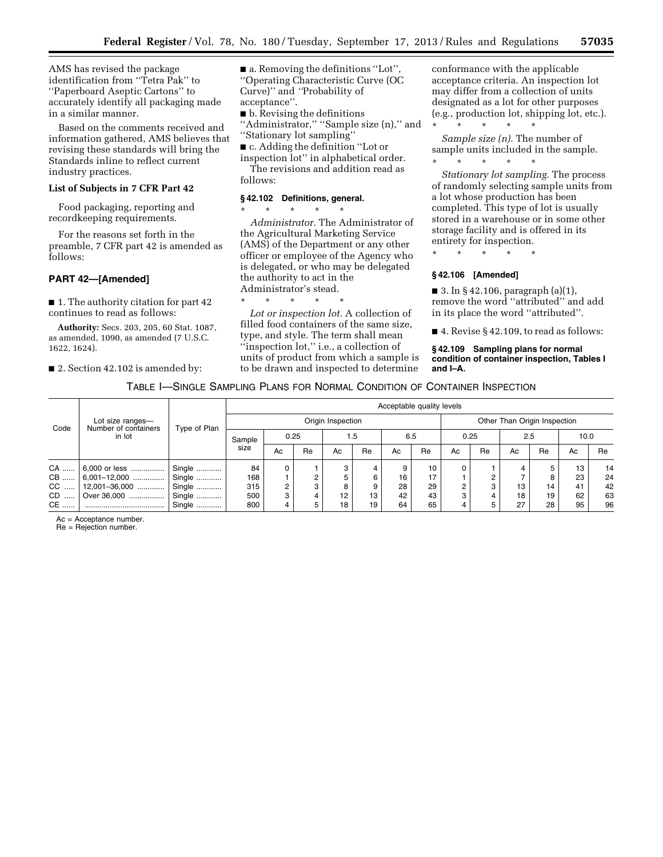AMS has revised the package identification from ''Tetra Pak'' to ''Paperboard Aseptic Cartons'' to accurately identify all packaging made in a similar manner.

Based on the comments received and information gathered, AMS believes that revising these standards will bring the Standards inline to reflect current industry practices.

#### **List of Subjects in 7 CFR Part 42**

Food packaging, reporting and recordkeeping requirements.

For the reasons set forth in the preamble, 7 CFR part 42 is amended as follows:

#### **PART 42—[Amended]**

■ 1. The authority citation for part 42 continues to read as follows:

**Authority:** Secs. 203, 205, 60 Stat. 1087, as amended, 1090, as amended (7 U.S.C. 1622, 1624).

■ 2. Section 42.102 is amended by:

■ a. Removing the definitions "Lot", ''Operating Characteristic Curve (OC Curve)'' and *''*Probability of acceptance''.

■ b. Revising the definitions "Administrator," "Sample size (n)," and ''Stationary lot sampling''

■ c. Adding the definition "Lot or

inspection lot'' in alphabetical order. The revisions and addition read as follows:

### **§ 42.102 Definitions, general.**

\* \* \* \* \*

*Administrator.* The Administrator of the Agricultural Marketing Service (AMS) of the Department or any other officer or employee of the Agency who is delegated, or who may be delegated the authority to act in the Administrator's stead.

\* \* \* \* \* *Lot or inspection lot.* A collection of filled food containers of the same size, type, and style. The term shall mean ''inspection lot,'' i.e., a collection of units of product from which a sample is to be drawn and inspected to determine conformance with the applicable acceptance criteria. An inspection lot may differ from a collection of units designated as a lot for other purposes (e.g., production lot, shipping lot, etc.). \* \* \* \* \*

*Sample size (n).* The number of sample units included in the sample. \* \* \* \* \*

*Stationary lot sampling.* The process of randomly selecting sample units from a lot whose production has been completed. This type of lot is usually stored in a warehouse or in some other storage facility and is offered in its entirety for inspection.

\* \* \* \* \*

#### **§ 42.106 [Amended]**

■ 3. In § 42.106, paragraph  $(a)(1)$ , remove the word ''attributed'' and add in its place the word ''attributed''.

■ 4. Revise § 42.109, to read as follows:

**§ 42.109 Sampling plans for normal condition of container inspection, Tables I and I–A.** 

#### TABLE I—SINGLE SAMPLING PLANS FOR NORMAL CONDITION OF CONTAINER INSPECTION

|      |                                                    |              | Acceptable quality levels |      |    |     |    |     |    |      |                              |     |    |      |           |  |  |
|------|----------------------------------------------------|--------------|---------------------------|------|----|-----|----|-----|----|------|------------------------------|-----|----|------|-----------|--|--|
| Code | Lot size ranges-<br>Number of containers<br>in lot |              | Origin Inspection         |      |    |     |    |     |    |      | Other Than Origin Inspection |     |    |      |           |  |  |
|      |                                                    | Type of Plan | Sample                    | 0.25 |    | 1.5 |    | 6.5 |    | 0.25 |                              | 2.5 |    | 10.0 |           |  |  |
|      |                                                    |              | size                      | Ac   | Re | Ac  | Re | Ac  | Re | Ac   | Re                           | Ac  | Re | Ac   | <b>Re</b> |  |  |
| CA   | 6,000 or less                                      | Single       | 84                        |      |    | 3   |    | 9   | 10 | 0    |                              | 4   | 5  | 13   | 14        |  |  |
| CB   | $6,001-12,000$                                     | Single       | 168                       |      | ⌒  |     |    | 16  | 17 |      | $\sqrt{2}$                   |     | 8  | 23   | 24        |  |  |
| CC   | 12,001-36,000                                      | Single       | 315                       |      |    |     |    | 28  | 29 | C    | 3                            | 13  | 14 | 41   | 42        |  |  |
| CD   | Over 36,000                                        | Single       | 500                       |      |    | 12  | 13 | 42  | 43 |      |                              | 18  | 19 | 62   | 63        |  |  |
| CE   |                                                    | Single       | 800                       |      |    | 18  | 19 | 64  | 65 |      |                              | 27  | 28 | 95   | 96        |  |  |

Ac = Acceptance number.

Re = Rejection number.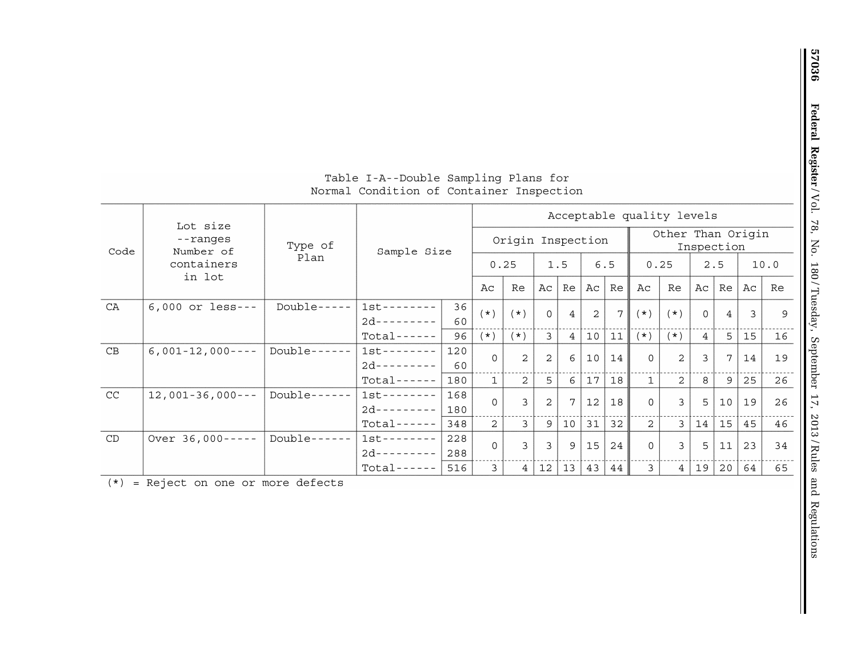| Table I-A--Double Sampling Plans for     |  |  |  |
|------------------------------------------|--|--|--|
| Normal Condition of Container Inspection |  |  |  |

|      | Lot size              |              |               | Acceptable quality levels |                |                |                |                   |                   |             |                |                                 |                |                |      |    |  |
|------|-----------------------|--------------|---------------|---------------------------|----------------|----------------|----------------|-------------------|-------------------|-------------|----------------|---------------------------------|----------------|----------------|------|----|--|
| Code | --ranges<br>Number of | Type of      | Sample Size   |                           |                |                |                | Origin Inspection |                   |             |                | Other Than Origin<br>Inspection |                |                |      |    |  |
|      | containers<br>in lot  |              | Plan          |                           |                | 0.25           |                | 1.5               |                   | 6.5         | 0.25           |                                 | 2.5            |                | 10.0 |    |  |
|      |                       |              |               |                           | Ac             | Re             | Ac             | Re                | Ac                | Re          | Ac             | Re                              | Ac             | Re             | Ac   | Re |  |
| CA   | $6,000$ or less---    | $Double---$  | $1st-----$    | 36                        | $(* )$         | $(* )$         | $\Omega$       | $\overline{4}$    | 2                 | $7^{\circ}$ | $(* )$         | $(* )$                          | $\Omega$       | $\overline{4}$ | 3    | 9  |  |
|      |                       |              | $2d--------$  | 60                        |                |                |                |                   |                   |             |                |                                 |                |                |      |    |  |
|      |                       |              | $Total----$   | 96                        | $(* )$         | $(* )$         | 3              | $\overline{4}$    | 10                | 11          | $(* )$         | $(* )$                          | $\overline{4}$ | 5              | 15   | 16 |  |
| CB   | $6,001-12,000---$     | $Double----$ | $1st-----$    | 120                       | $\Omega$       | 2              | 2              | 6                 | 10                | 14          | $\Omega$       | $\overline{2}$                  | $\mathbf{3}$   | 7              | 14   | 19 |  |
|      |                       |              | $2d$ -------- | 60                        |                |                |                |                   |                   |             |                |                                 |                |                |      |    |  |
|      |                       |              | $Total---$    | 180                       | $\mathbf{1}$   | $\mathfrak{D}$ | 5              | 6                 | 17                | 18          | $\mathbf{1}$   | $\mathfrak{D}$                  | 8              | 9              | 25   | 26 |  |
| CC   | $12,001-36,000---$    | $Double----$ | $1st--------$ | 168                       | $\Omega$       | $\mathbf{3}$   | $\overline{2}$ |                   | $12 \overline{ }$ | 18          | $\Omega$       | $\mathcal{E}$                   | 5              | 10             | 19   | 26 |  |
|      |                       |              | $2d$ -------- | 180                       |                |                |                |                   |                   |             |                |                                 |                |                |      |    |  |
|      |                       |              | $Total----$   | 348                       | $\overline{2}$ | 3              | 9              | $10$              | 31                | 32          | $\overline{2}$ | 3                               | 14             | 15             | 45   | 46 |  |
| CD   | Over $36,000---$      | Double-      | $1st-----$    | 228                       | $\Omega$       | $\mathbf{z}$   | $\overline{3}$ | 9                 | 15                | 24          | $\Omega$       | $\overline{3}$                  | 5              | 11             | 23   | 34 |  |
|      |                       |              | $2d$ -------- | 288                       |                |                |                |                   |                   |             |                |                                 |                |                |      |    |  |
|      |                       |              | $Total-----$  | 516                       | 3              | $\overline{4}$ | 12             | 13                | 43                | 44          | $\mathcal{L}$  | $\overline{4}$                  | 19             | 20             | 64   | 65 |  |

 $(*)$  = Reject on one or more defects

Ш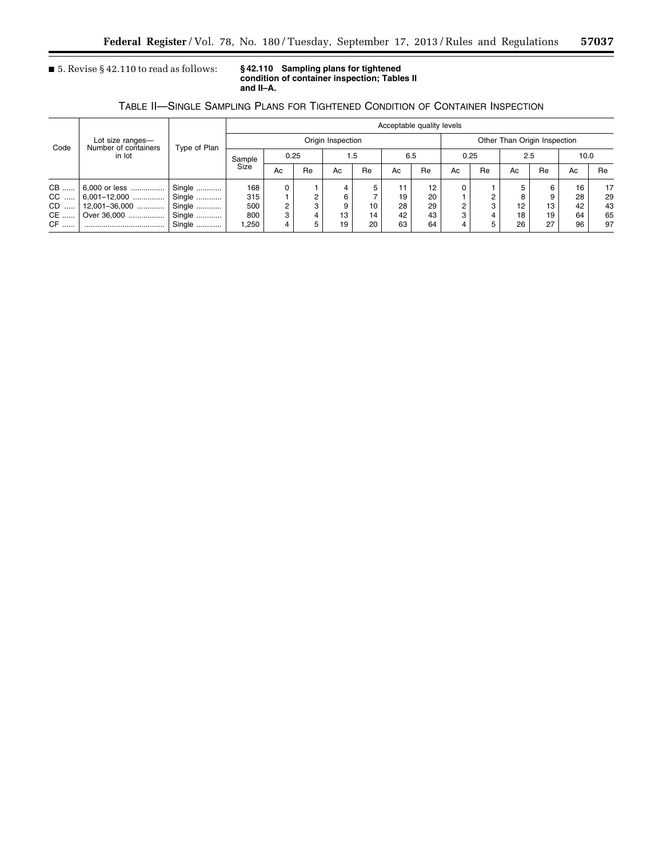■ 5. Revise § 42.110 to read as follows: **§ 42.110 Sampling plans for tightened condition of container inspection; Tables II and II–A.** 

### TABLE II—SINGLE SAMPLING PLANS FOR TIGHTENED CONDITION OF CONTAINER INSPECTION

|                |                                                    |              | Acceptable quality levels |      |    |     |    |    |     |                              |            |     |    |      |    |  |
|----------------|----------------------------------------------------|--------------|---------------------------|------|----|-----|----|----|-----|------------------------------|------------|-----|----|------|----|--|
| Code           | Lot size ranges-<br>Number of containers<br>in lot | Type of Plan | Origin Inspection         |      |    |     |    |    |     | Other Than Origin Inspection |            |     |    |      |    |  |
|                |                                                    |              | Sample                    | 0.25 |    | 1.5 |    |    | 6.5 |                              | 0.25       | 2.5 |    | 10.0 |    |  |
|                |                                                    |              | Size                      | Ac   | Re | Ac  | Re | Ac | Re  | Ac                           | <b>Re</b>  | Ac  | Re | Ac   | Re |  |
| CB             |                                                    | Single       | 168                       |      |    |     |    | 11 | 12  |                              |            |     | 6  | 16   | 17 |  |
| CC             |                                                    | Single       | 315                       |      |    |     |    | 19 | 20  |                              | $\sqrt{2}$ |     | 9  | 28   | 29 |  |
| CD<br>$\cdots$ | $12,001 - 36,000$                                  | Single       | 500                       |      |    |     | 10 | 28 | 29  |                              | 3          | 12  | 13 | 42   | 43 |  |
| CE             | Over 36,000                                        | Single       | 800                       |      |    | 13  | 14 | 42 | 43  |                              |            | 18  | 19 | 64   | 65 |  |
| CF             |                                                    | Single       | ,250                      |      |    | 19  | 20 | 63 | 64  |                              |            | 26  | 27 | 96   | 97 |  |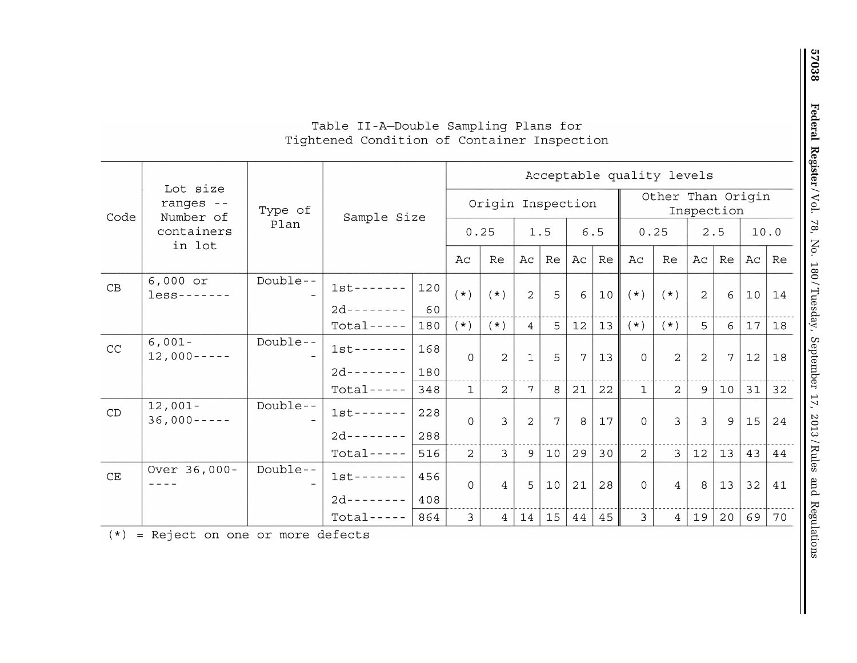## Table II-A-Double Sampling Plans for Tightened Condition of Container Inspection

|                      |                                    |          |               | Acceptable quality levels |                |                   |                 |                |    |     |                |                   |                |             |              |    |
|----------------------|------------------------------------|----------|---------------|---------------------------|----------------|-------------------|-----------------|----------------|----|-----|----------------|-------------------|----------------|-------------|--------------|----|
| Code                 | Lot size<br>ranges --<br>Number of | Type of  |               |                           |                | Origin Inspection |                 |                |    |     |                | Other Than Origin |                | Inspection  |              |    |
|                      | containers<br>in lot               | Plan     |               | Sample Size               |                | 0.25              | 1.5             |                |    | 6.5 | 0.25           |                   |                | 2.5         | 10.0         |    |
|                      |                                    |          |               |                           | Ac             | Re                | Aс              | Re             | Aс | Re  | Ac             | Re                | Ac             | Re          | Aс           | Re |
| $\mathbf C\mathbf B$ | $6,000$ or<br>$less - - - - - - -$ | Double-- | $1st-----$    | 120                       | $(* )$         | $(* )$            | $\overline{2}$  | 5              | 6  | 10  | $(\star)$      | $(* )$            | $\overline{2}$ | 6           | 10           | 14 |
|                      |                                    |          | $2d$ -------- | 60                        |                |                   |                 |                |    |     |                |                   |                |             |              |    |
|                      |                                    |          | $Total---$    | 180                       | $(\star)$      | $(\star)$         | $\overline{4}$  | 5 <sup>5</sup> | 12 | 13  | $(\star)$      | $(* )$            | $5^{\circ}$    | 6           | 17           | 18 |
| CC                   | $6,001-$<br>$12,000---$            | Double-- | $1st-----$    | 168                       | $\Omega$       | $\overline{2}$    | $\mathbf{1}$    | 5              | 7  | 13  | $\Omega$       | $\overline{2}$    | $\overline{2}$ | $7^{\circ}$ | 12           | 18 |
|                      |                                    |          | $2d$ -------  | 180                       |                |                   |                 |                |    |     |                |                   |                |             |              |    |
|                      |                                    |          | $Total---$    | 348                       | $\mathbf{1}$   | $\mathcal{L}$     | $7\overline{ }$ | 8              | 21 | 22  | $\mathbf{1}$   | $\mathcal{L}$     | 9              | 10          | $31 \mid 32$ |    |
| CD                   | $12,001-$<br>$36,000---$           | Double-- | $1st-----$    | 228                       | $\Omega$       | $\mathbf{R}$      | 2               | 7              | 8  | 17  | $\Omega$       | $\mathcal{L}$     | $\mathcal{E}$  | 9           | 15           | 24 |
|                      |                                    |          | $2d-----$     | 288                       |                |                   |                 |                |    |     |                |                   |                |             |              |    |
|                      |                                    |          | $Total---$    | 516                       | $\overline{2}$ | $\mathbf{3}$      | 9               | 10             | 29 | 30  | 2              | $\overline{3}$    | 12             | 13          | 43           | 44 |
| CE                   | Over 36,000-                       | Double-- | $1st-----$    | 456                       | $\Omega$       | $\overline{4}$    | 5 <sup>1</sup>  | 10             | 21 | 28  | $\overline{0}$ | $\overline{4}$    | 8              | 13          | 32           | 41 |
|                      |                                    |          | $2d------$    | 408                       |                |                   |                 |                |    |     |                |                   |                |             |              |    |
|                      |                                    |          | $Total---$    | 864                       | $\mathbf{3}$   | 4                 | 14              | 15             | 44 | 45  | $\mathbf{3}$   | $\overline{4}$    | 19             | 20          | 69           | 70 |

(\*) Reject on one or more defects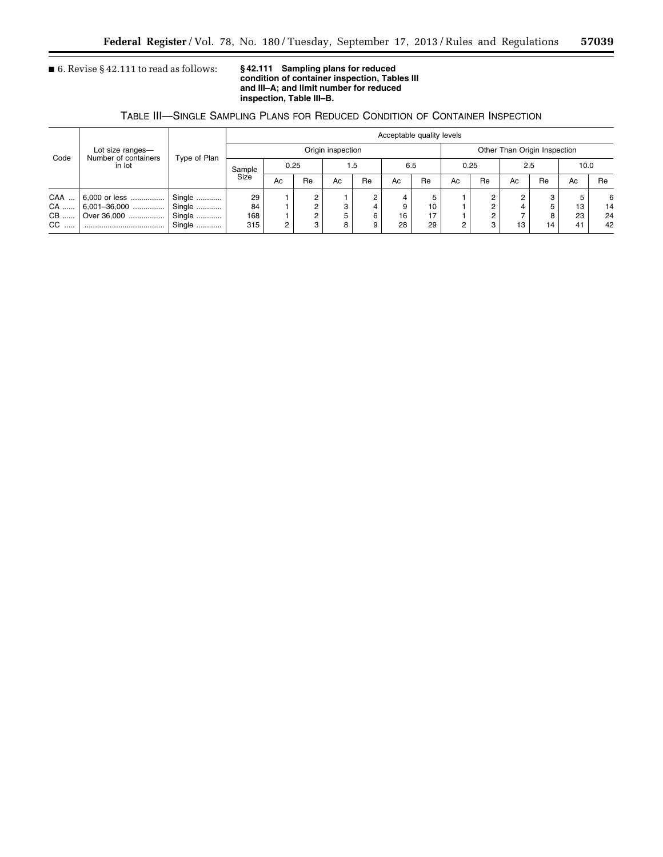### ■ 6. Revise § 42.111 to read as follows:

## **condition of container inspection, Tables III and III–A; and limit number for reduced inspection, Table III–B.**

### TABLE III—SINGLE SAMPLING PLANS FOR REDUCED CONDITION OF CONTAINER INSPECTION

|      |                                                    |              | Acceptable quality levels |      |    |    |     |    |     |    |                              |        |    |      |    |  |
|------|----------------------------------------------------|--------------|---------------------------|------|----|----|-----|----|-----|----|------------------------------|--------|----|------|----|--|
| Code | Lot size ranges-<br>Number of containers<br>in lot | Type of Plan | Origin inspection         |      |    |    |     |    |     |    | Other Than Origin Inspection |        |    |      |    |  |
|      |                                                    |              | Sample                    | 0.25 |    |    | 1.5 |    | 6.5 |    | 0.25                         | 2.5    |    | 10.0 |    |  |
|      |                                                    |              | Size                      | Ac   | Re | Ac | Re  | Ac | Re  | Ac | Re                           | Ac     | Re | Ac   | Re |  |
| CAA  | 6,000 or less                                      | Single       | 29                        |      |    |    | ∩   |    |     |    | C                            | $\sim$ | 3  | 5    | 6  |  |
| CA   |                                                    | Single       | 84                        |      |    |    |     |    | 10  |    |                              |        | 5  | 13   | 14 |  |
| CB   | Over 36,000                                        | Single       | 168                       |      |    |    |     | 16 | 17  |    |                              |        | 8  | 23   | 24 |  |
| CC.  |                                                    | Single       | 315                       |      |    |    |     | 28 | 29  |    | 3                            | 13     | 14 | 41   | 42 |  |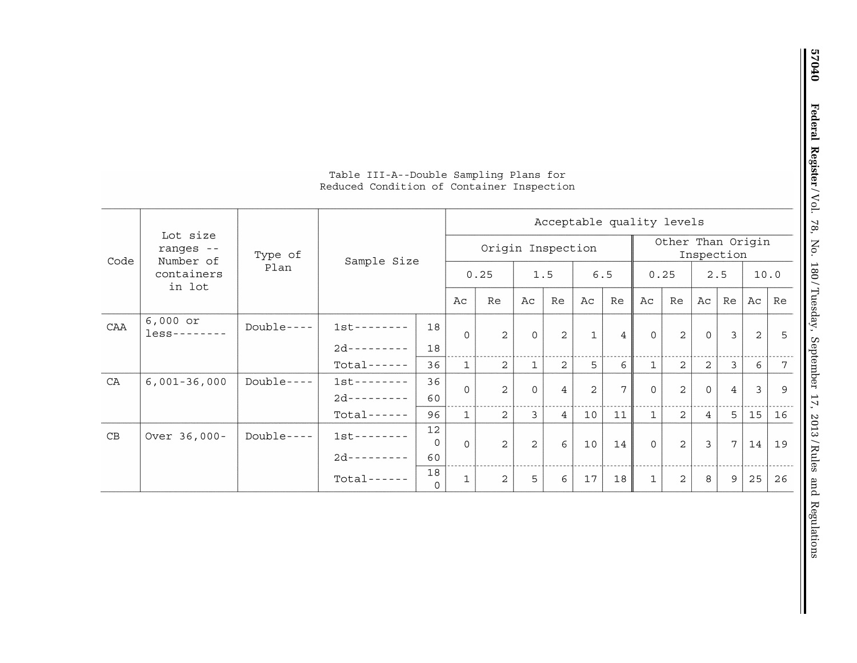|      |                                    |             |                         |                |                   | Acceptable quality levels |                |                 |                |                                 |              |                |                |                |              |    |  |  |
|------|------------------------------------|-------------|-------------------------|----------------|-------------------|---------------------------|----------------|-----------------|----------------|---------------------------------|--------------|----------------|----------------|----------------|--------------|----|--|--|
| Code | Lot size<br>ranges --<br>Number of | Type of     | Sample Size             |                | Origin Inspection |                           |                |                 |                | Other Than Origin<br>Inspection |              |                |                |                |              |    |  |  |
|      | containers<br>in lot               | Plan        |                         |                |                   | 0.25                      |                | 1.5             |                | 6.5                             | 0.25         |                |                | 2.5            | 10.0         |    |  |  |
|      |                                    |             |                         |                |                   | Re                        | Aс             | Re              | Ac             | Re                              | Ac           | Re             | Ac             | Re             | Aс           | Re |  |  |
| CAA  | $6,000$ or<br>$less - - - - - - -$ | $Double---$ | $1st-----$              | 18             | $\Omega$          | $\overline{2}$            | $\Omega$       | $\overline{a}$  | $\mathbf{1}$   | $\overline{4}$                  | $\Omega$     | $\overline{a}$ | $\Omega$       | $\mathbf{3}$   | 2            | -5 |  |  |
|      |                                    |             | $2d$ ---------          | 18             |                   |                           |                |                 |                |                                 |              |                |                |                |              |    |  |  |
|      |                                    |             | $Total-----$            | 36             | $\mathbf{1}$      | $\overline{2}$            | $\mathbf{1}$   | $\overline{2}$  | 5              | 6                               | $\mathbf{1}$ | $\overline{2}$ | 2              | 3              | 6            | 7  |  |  |
| CA   | $6,001-36,000$                     | Double-     | $1st-----$<br>$2d-----$ | 36<br>60       | $\Omega$          | $\overline{2}$            | $\overline{0}$ | $\overline{4}$  | $\overline{2}$ | 7                               | $\Omega$     | $\overline{a}$ | $\mathbf{O}$   | $\overline{4}$ | $\mathbf{3}$ | 9  |  |  |
|      |                                    |             | $Total----$             | 96             | $\mathbf{1}$      | 2                         | 3              | $\overline{4}$  | 10             | 11                              | $\mathbf{1}$ | $\overline{2}$ | $\overline{4}$ | 5              | 15           | 16 |  |  |
| CB   | Over 36,000-                       | $Double---$ | $1st--------$           | 12<br>$\Omega$ | $\Omega$          | $\mathfrak{D}$            | 2              | $6\overline{6}$ | 10             | 14                              | $\Omega$     | 2              | $\overline{3}$ | $\overline{7}$ | 14           | 19 |  |  |
|      |                                    |             | $2d$ ---------          | 60             |                   |                           |                |                 |                |                                 |              |                |                |                |              |    |  |  |
|      |                                    |             | $Total---$              | 18<br>$\Omega$ | $\mathbf 1$       | 2                         | 5              | $6\overline{6}$ | $17$           | 18                              | 1            | $\overline{a}$ | 8              | 9              | 25           | 26 |  |  |

### Table III-A--Double Sampling Plans for Reduced Condition of Container Inspection

57040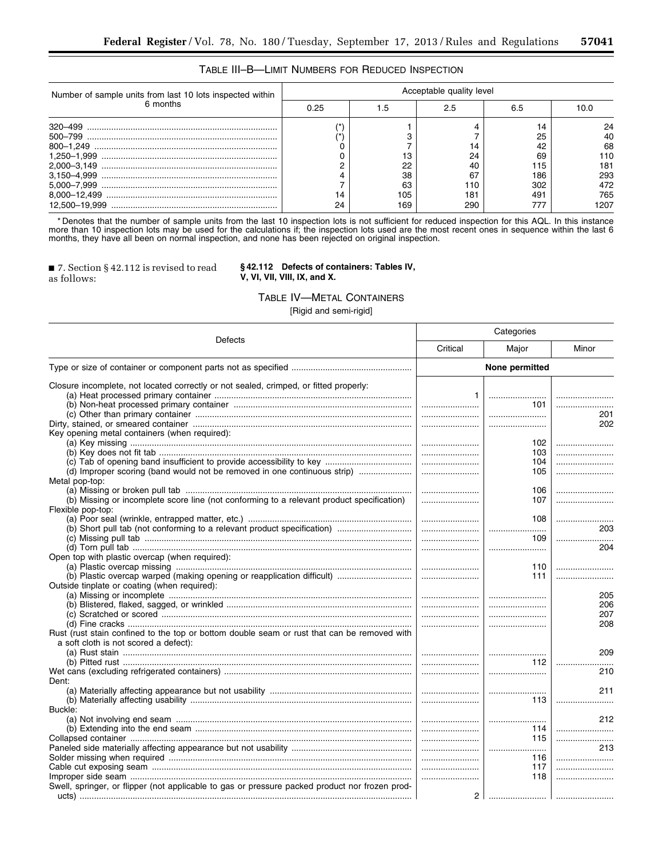### TABLE III–B—LIMIT NUMBERS FOR REDUCED INSPECTION

| Number of sample units from last 10 lots inspected within | Acceptable quality level |     |     |     |      |  |  |  |  |  |  |  |
|-----------------------------------------------------------|--------------------------|-----|-----|-----|------|--|--|--|--|--|--|--|
| 6 months                                                  | 0.25                     | .5  | 2.5 | 6.5 | 10.0 |  |  |  |  |  |  |  |
|                                                           |                          |     |     |     | 24   |  |  |  |  |  |  |  |
|                                                           |                          |     |     | 25  | 40   |  |  |  |  |  |  |  |
|                                                           |                          |     | 14  |     | 68   |  |  |  |  |  |  |  |
|                                                           |                          |     | 24  | 69  | 110  |  |  |  |  |  |  |  |
|                                                           |                          | 22  | 40  | 115 | 181  |  |  |  |  |  |  |  |
|                                                           |                          | 38  | 67  | 186 | 293  |  |  |  |  |  |  |  |
|                                                           |                          | 63  | 110 | 302 | 472  |  |  |  |  |  |  |  |
|                                                           | 14                       | 105 | 181 | 491 | 765  |  |  |  |  |  |  |  |
|                                                           | 24                       | 169 | 290 |     | 1207 |  |  |  |  |  |  |  |

\* Denotes that the number of sample units from the last 10 inspection lots is not sufficient for reduced inspection for this AQL. In this instance more than 10 inspection lots may be used for the calculations if; the inspection lots used are the most recent ones in sequence within the last 6 months, they have all been on normal inspection, and none has been rejected on original inspection.

■ 7. Section § 42.112 is revised to read as follows:

**§ 42.112 Defects of containers: Tables IV, V, VI, VII, VIII, IX, and X.** 

#### TABLE IV—METAL CONTAINERS

[Rigid and semi-rigid]

|                                                                                                |                | Categories     |                                                             |
|------------------------------------------------------------------------------------------------|----------------|----------------|-------------------------------------------------------------|
| Defects                                                                                        | Critical       | Major          | Minor                                                       |
|                                                                                                |                | None permitted |                                                             |
| Closure incomplete, not located correctly or not sealed, crimped, or fitted properly:          |                |                |                                                             |
|                                                                                                | $\mathbf{1}$   |                |                                                             |
|                                                                                                |                | 101            |                                                             |
|                                                                                                |                |                | 201                                                         |
|                                                                                                |                |                | 202                                                         |
| Key opening metal containers (when required):                                                  |                |                |                                                             |
|                                                                                                |                | 102            |                                                             |
|                                                                                                |                | 103            |                                                             |
|                                                                                                |                | 104            |                                                             |
| (d) Improper scoring (band would not be removed in one continuous strip)                       |                | 105            |                                                             |
| Metal pop-top:                                                                                 |                |                |                                                             |
|                                                                                                |                | 106            |                                                             |
| (b) Missing or incomplete score line (not conforming to a relevant product specification)      |                | 107            |                                                             |
| Flexible pop-top:                                                                              |                |                |                                                             |
|                                                                                                |                | 108            |                                                             |
|                                                                                                |                |                | 203                                                         |
|                                                                                                |                | 109            |                                                             |
|                                                                                                |                |                | 204                                                         |
| Open top with plastic overcap (when required):                                                 |                |                |                                                             |
|                                                                                                |                | 110            |                                                             |
| (b) Plastic overcap warped (making opening or reapplication difficult)                         |                | 111            |                                                             |
| Outside tinplate or coating (when required):                                                   |                |                |                                                             |
|                                                                                                |                |                | 205                                                         |
|                                                                                                |                |                | 206                                                         |
|                                                                                                |                |                | 207                                                         |
|                                                                                                |                |                |                                                             |
|                                                                                                |                |                | 208                                                         |
| Rust (rust stain confined to the top or bottom double seam or rust that can be removed with    |                |                |                                                             |
| a soft cloth is not scored a defect):                                                          |                |                |                                                             |
|                                                                                                |                |                | 209                                                         |
|                                                                                                |                |                | $112$ $\ldots$ $\ldots$ $\ldots$ $\ldots$ $\ldots$ $\ldots$ |
|                                                                                                |                |                | 210                                                         |
| Dent:                                                                                          |                |                |                                                             |
|                                                                                                |                |                | 211                                                         |
|                                                                                                |                | 113 I          |                                                             |
| Buckle:                                                                                        |                |                |                                                             |
|                                                                                                |                |                | 212                                                         |
|                                                                                                |                | 114 l          |                                                             |
|                                                                                                |                | 115            |                                                             |
|                                                                                                |                |                | 213                                                         |
|                                                                                                |                | 116            |                                                             |
|                                                                                                |                | 117            |                                                             |
|                                                                                                |                | 118            |                                                             |
| Swell, springer, or flipper (not applicable to gas or pressure packed product nor frozen prod- |                |                |                                                             |
|                                                                                                | 2 <sup>1</sup> |                |                                                             |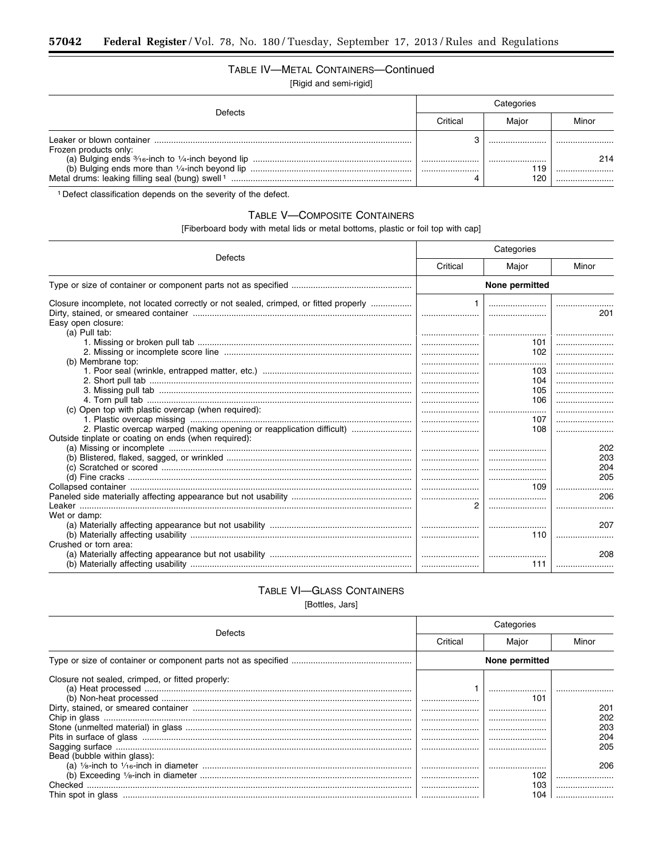### TABLE IV-METAL CONTAINERS-Continued [Rigid and semi-rigid]

| <b>Defects</b>        | Critical | Maior      | Minor |  |
|-----------------------|----------|------------|-------|--|
| Frozen products only: |          | <br>       | 214   |  |
|                       |          | 119<br>120 |       |  |

<sup>1</sup> Defect classification depends on the severity of the defect.

### TABLE V-COMPOSITE CONTAINERS

[Fiberboard body with metal lids or metal bottoms, plastic or foil top with cap]

| Defects<br>Critical<br>Major<br>Minor<br>None permitted<br>Closure incomplete, not located correctly or not sealed, crimped, or fitted properly<br><br>201<br>Easy open closure:<br>(a) Pull tab:<br><br>101<br>102<br><u>  </u><br>(b) Membrane top:<br><br>103<br>104<br>105<br><br>106<br>(c) Open top with plastic overcap (when required):<br><br>107<br>l<br>2. Plastic overcap warped (making opening or reapplication difficult)<br>108<br>Outside tinplate or coating on ends (when required):<br>202<br>203<br>204<br>205<br> |
|-----------------------------------------------------------------------------------------------------------------------------------------------------------------------------------------------------------------------------------------------------------------------------------------------------------------------------------------------------------------------------------------------------------------------------------------------------------------------------------------------------------------------------------------|
|                                                                                                                                                                                                                                                                                                                                                                                                                                                                                                                                         |
|                                                                                                                                                                                                                                                                                                                                                                                                                                                                                                                                         |
|                                                                                                                                                                                                                                                                                                                                                                                                                                                                                                                                         |
|                                                                                                                                                                                                                                                                                                                                                                                                                                                                                                                                         |
|                                                                                                                                                                                                                                                                                                                                                                                                                                                                                                                                         |
|                                                                                                                                                                                                                                                                                                                                                                                                                                                                                                                                         |
|                                                                                                                                                                                                                                                                                                                                                                                                                                                                                                                                         |
|                                                                                                                                                                                                                                                                                                                                                                                                                                                                                                                                         |
|                                                                                                                                                                                                                                                                                                                                                                                                                                                                                                                                         |
|                                                                                                                                                                                                                                                                                                                                                                                                                                                                                                                                         |
|                                                                                                                                                                                                                                                                                                                                                                                                                                                                                                                                         |
|                                                                                                                                                                                                                                                                                                                                                                                                                                                                                                                                         |
|                                                                                                                                                                                                                                                                                                                                                                                                                                                                                                                                         |
|                                                                                                                                                                                                                                                                                                                                                                                                                                                                                                                                         |
|                                                                                                                                                                                                                                                                                                                                                                                                                                                                                                                                         |
|                                                                                                                                                                                                                                                                                                                                                                                                                                                                                                                                         |
|                                                                                                                                                                                                                                                                                                                                                                                                                                                                                                                                         |
|                                                                                                                                                                                                                                                                                                                                                                                                                                                                                                                                         |
|                                                                                                                                                                                                                                                                                                                                                                                                                                                                                                                                         |
|                                                                                                                                                                                                                                                                                                                                                                                                                                                                                                                                         |
|                                                                                                                                                                                                                                                                                                                                                                                                                                                                                                                                         |
| 109<br>                                                                                                                                                                                                                                                                                                                                                                                                                                                                                                                                 |
| 206                                                                                                                                                                                                                                                                                                                                                                                                                                                                                                                                     |
| <br>                                                                                                                                                                                                                                                                                                                                                                                                                                                                                                                                    |
| Wet or damp:                                                                                                                                                                                                                                                                                                                                                                                                                                                                                                                            |
| 207                                                                                                                                                                                                                                                                                                                                                                                                                                                                                                                                     |
| 110                                                                                                                                                                                                                                                                                                                                                                                                                                                                                                                                     |
| Crushed or torn area:                                                                                                                                                                                                                                                                                                                                                                                                                                                                                                                   |
| 208                                                                                                                                                                                                                                                                                                                                                                                                                                                                                                                                     |
| 111                                                                                                                                                                                                                                                                                                                                                                                                                                                                                                                                     |

# TABLE VI-GLASS CONTAINERS

[Bottles, Jars]

|                                                  | Categories |                |       |  |  |  |  |
|--------------------------------------------------|------------|----------------|-------|--|--|--|--|
| Defects                                          | Critical   | Major          | Minor |  |  |  |  |
|                                                  |            | None permitted |       |  |  |  |  |
| Closure not sealed, crimped, or fitted properly: |            |                |       |  |  |  |  |
|                                                  |            |                |       |  |  |  |  |
|                                                  |            | 101            |       |  |  |  |  |
|                                                  |            |                | 201   |  |  |  |  |
|                                                  |            |                | 202   |  |  |  |  |
|                                                  |            |                | 203   |  |  |  |  |
|                                                  |            |                | 204   |  |  |  |  |
|                                                  |            |                | 205   |  |  |  |  |
| Bead (bubble within glass):                      |            |                |       |  |  |  |  |
|                                                  |            |                | 206   |  |  |  |  |
|                                                  |            | 102            |       |  |  |  |  |
| Checked                                          |            | 103            |       |  |  |  |  |
|                                                  |            | 104            |       |  |  |  |  |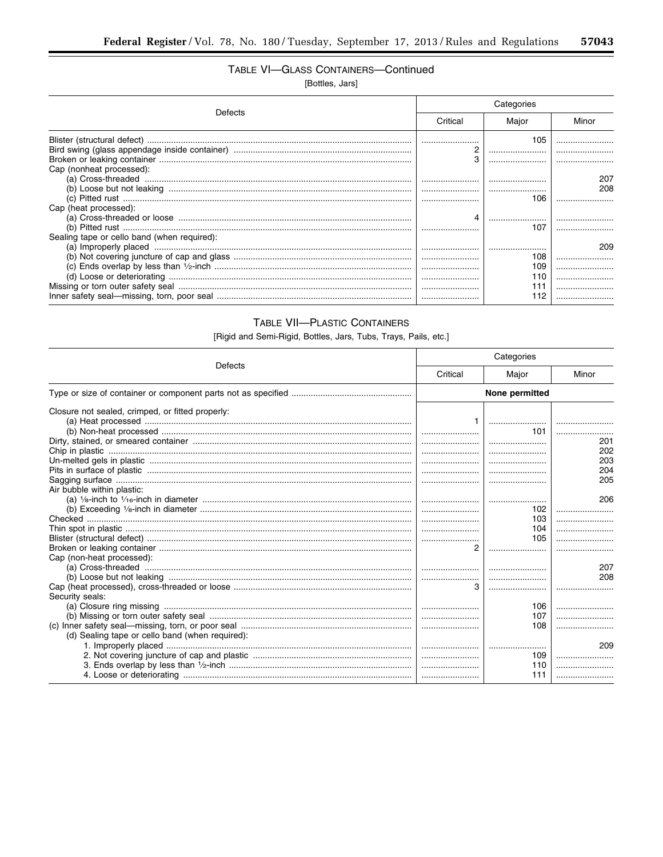Ξ

### TABLE VI-GLASS CONTAINERS-Continued

[Bottles, Jars]

|                                             | Categories |         |            |
|---------------------------------------------|------------|---------|------------|
| Defects                                     | Critical   | Maior   | Minor      |
|                                             | З          | 105     |            |
| Cap (nonheat processed):                    |            |         |            |
|                                             |            |         | 207<br>208 |
|                                             |            | 106     |            |
| Cap (heat processed):                       |            |         |            |
|                                             |            | 107     |            |
| Sealing tape or cello band (when required): |            |         | 209        |
|                                             | l          | <br>108 |            |
|                                             |            | 109     |            |
|                                             |            |         | <br>       |
|                                             |            |         |            |

### **TABLE VII-PLASTIC CONTAINERS**

[Rigid and Semi-Rigid, Bottles, Jars, Tubs, Trays, Pails, etc.]

|                                                  | Categories |                |       |
|--------------------------------------------------|------------|----------------|-------|
| Defects                                          | Critical   | Major          | Minor |
|                                                  |            | None permitted |       |
| Closure not sealed, crimped, or fitted properly: |            |                |       |
|                                                  |            |                |       |
|                                                  |            | 101            |       |
|                                                  |            |                | 201   |
|                                                  |            |                | 202   |
|                                                  |            |                | 203   |
|                                                  |            |                | 204   |
|                                                  |            |                | 205   |
| Air bubble within plastic:                       |            |                |       |
|                                                  |            |                | 206   |
|                                                  |            | 102            |       |
|                                                  |            | 103            |       |
|                                                  |            | 104            |       |
|                                                  |            | 105            |       |
|                                                  |            |                |       |
| Cap (non-heat processed):                        |            |                |       |
|                                                  |            |                | 207   |
|                                                  |            |                | 208   |
|                                                  |            |                |       |
| Security seals:                                  |            |                |       |
|                                                  |            | 106            |       |
|                                                  |            | 107            |       |
|                                                  |            | 108            |       |
| (d) Sealing tape or cello band (when required):  |            |                |       |
|                                                  |            |                | 209   |
|                                                  |            | 109            |       |
|                                                  |            | 110            |       |
|                                                  |            | 111            |       |
|                                                  |            |                |       |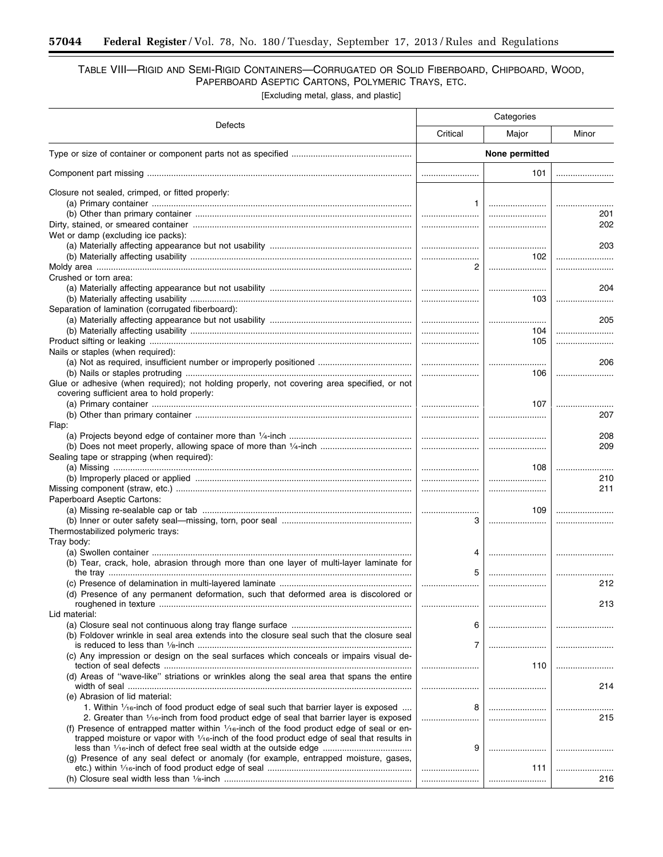### TABLE VIII—RIGID AND SEMI-RIGID CONTAINERS—CORRUGATED OR SOLID FIBERBOARD, CHIPBOARD, WOOD, PAPERBOARD ASEPTIC CARTONS, POLYMERIC TRAYS, ETC.

[Excluding metal, glass, and plastic]

| Defects                                                                                                                                   | Categories     |       |         |  |
|-------------------------------------------------------------------------------------------------------------------------------------------|----------------|-------|---------|--|
|                                                                                                                                           | Critical       | Major | Minor   |  |
|                                                                                                                                           | None permitted |       |         |  |
|                                                                                                                                           |                | 101   |         |  |
| Closure not sealed, crimped, or fitted properly:                                                                                          |                |       |         |  |
|                                                                                                                                           | 1              |       | <br>201 |  |
|                                                                                                                                           |                |       | 202     |  |
| Wet or damp (excluding ice packs):                                                                                                        |                |       |         |  |
|                                                                                                                                           |                |       | 203     |  |
|                                                                                                                                           | <br>2          | 102   |         |  |
| Crushed or torn area:                                                                                                                     |                |       |         |  |
|                                                                                                                                           |                |       | 204     |  |
|                                                                                                                                           |                | 103   |         |  |
| Separation of lamination (corrugated fiberboard):                                                                                         |                |       |         |  |
|                                                                                                                                           |                | 104   | 205     |  |
|                                                                                                                                           |                | 105   |         |  |
| Nails or staples (when required):                                                                                                         |                |       |         |  |
|                                                                                                                                           |                |       | 206     |  |
|                                                                                                                                           |                | 106   |         |  |
| Glue or adhesive (when required); not holding properly, not covering area specified, or not<br>covering sufficient area to hold properly: |                |       |         |  |
|                                                                                                                                           |                | 107   |         |  |
|                                                                                                                                           |                |       | 207     |  |
| Flap:                                                                                                                                     |                |       |         |  |
|                                                                                                                                           |                |       | 208     |  |
|                                                                                                                                           |                |       | 209     |  |
| Sealing tape or strapping (when required):                                                                                                |                | 108   |         |  |
|                                                                                                                                           |                |       | 210     |  |
|                                                                                                                                           |                |       | 211     |  |
| Paperboard Aseptic Cartons:                                                                                                               |                |       |         |  |
|                                                                                                                                           |                | 109   |         |  |
|                                                                                                                                           | З              |       |         |  |
| Thermostabilized polymeric trays:<br>Tray body:                                                                                           |                |       |         |  |
|                                                                                                                                           | 4              |       |         |  |
| (b) Tear, crack, hole, abrasion through more than one layer of multi-layer laminate for                                                   |                |       |         |  |
|                                                                                                                                           | 5              |       |         |  |
| (d) Presence of any permanent deformation, such that deformed area is discolored or                                                       |                |       | 212     |  |
|                                                                                                                                           |                |       | 213     |  |
| Lid material:                                                                                                                             |                |       |         |  |
|                                                                                                                                           | 6              |       |         |  |
| (b) Foldover wrinkle in seal area extends into the closure seal such that the closure seal                                                | 7              |       |         |  |
| (c) Any impression or design on the seal surfaces which conceals or impairs visual de-                                                    |                |       |         |  |
|                                                                                                                                           |                | 110   |         |  |
| (d) Areas of "wave-like" striations or wrinkles along the seal area that spans the entire                                                 |                |       |         |  |
| (e) Abrasion of lid material:                                                                                                             |                |       | 214     |  |
| 1. Within $\frac{1}{16}$ -inch of food product edge of seal such that barrier layer is exposed                                            | 8              |       |         |  |
| 2. Greater than 1/ <sub>16</sub> -inch from food product edge of seal that barrier layer is exposed                                       |                |       | 215     |  |
| (f) Presence of entrapped matter within $1/16$ -inch of the food product edge of seal or en-                                              |                |       |         |  |
| trapped moisture or vapor with $\frac{1}{16}$ -inch of the food product edge of seal that results in                                      |                |       |         |  |
| (g) Presence of any seal defect or anomaly (for example, entrapped moisture, gases,                                                       | 9              |       |         |  |
|                                                                                                                                           |                | 111   |         |  |
|                                                                                                                                           |                |       | 216     |  |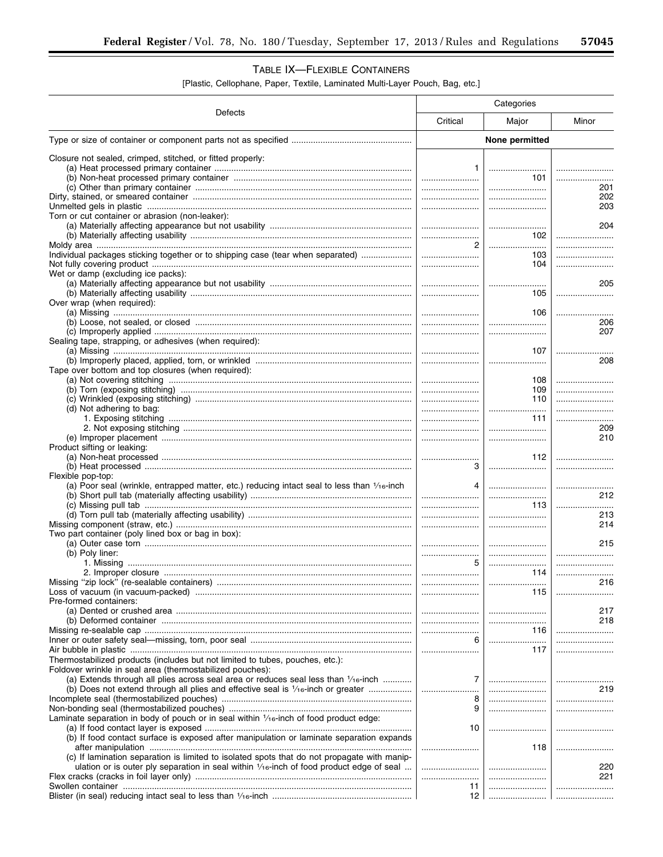### TABLE IX-FLEXIBLE CONTAINERS

[Plastic, Cellophane, Paper, Textile, Laminated Multi-Layer Pouch, Bag, etc.]

|                                                                                                | Categories     |                                                         |              |  |
|------------------------------------------------------------------------------------------------|----------------|---------------------------------------------------------|--------------|--|
| Defects                                                                                        | Critical       | Major                                                   | Minor        |  |
|                                                                                                | None permitted |                                                         |              |  |
| Closure not sealed, crimped, stitched, or fitted properly:                                     |                |                                                         |              |  |
|                                                                                                | 1.             |                                                         |              |  |
|                                                                                                |                | 101                                                     |              |  |
|                                                                                                |                |                                                         | 201          |  |
|                                                                                                |                |                                                         | 202          |  |
|                                                                                                |                |                                                         | 203          |  |
| Torn or cut container or abrasion (non-leaker):                                                |                |                                                         |              |  |
|                                                                                                |                |                                                         | 204          |  |
|                                                                                                |                | 102                                                     |              |  |
|                                                                                                |                |                                                         |              |  |
| Individual packages sticking together or to shipping case (tear when separated)                |                | 103                                                     |              |  |
|                                                                                                |                | 104                                                     |              |  |
| Wet or damp (excluding ice packs):                                                             |                |                                                         | 205          |  |
|                                                                                                |                | 105                                                     |              |  |
| Over wrap (when required):                                                                     |                |                                                         |              |  |
|                                                                                                |                | 106                                                     |              |  |
|                                                                                                |                |                                                         | 206          |  |
|                                                                                                |                |                                                         | 207          |  |
| Sealing tape, strapping, or adhesives (when required):                                         |                |                                                         |              |  |
|                                                                                                |                | 107                                                     |              |  |
|                                                                                                |                |                                                         | 208          |  |
| Tape over bottom and top closures (when required):                                             |                |                                                         |              |  |
|                                                                                                |                | 108                                                     |              |  |
|                                                                                                |                | 109                                                     |              |  |
|                                                                                                |                | 110                                                     |              |  |
| (d) Not adhering to bag:                                                                       |                |                                                         |              |  |
|                                                                                                |                | 111                                                     |              |  |
|                                                                                                |                |                                                         | 209          |  |
|                                                                                                |                |                                                         | 210          |  |
| Product sifting or leaking:                                                                    |                |                                                         |              |  |
|                                                                                                |                | 112                                                     |              |  |
| Flexible pop-top:                                                                              | 3              |                                                         |              |  |
| (a) Poor seal (wrinkle, entrapped matter, etc.) reducing intact seal to less than $1/16$ -inch | 4              |                                                         |              |  |
|                                                                                                |                |                                                         | 212          |  |
|                                                                                                |                | 113 I                                                   |              |  |
|                                                                                                |                |                                                         | 213          |  |
|                                                                                                |                |                                                         | 214          |  |
| Two part container (poly lined box or bag in box):                                             |                |                                                         |              |  |
|                                                                                                |                |                                                         | 215          |  |
| (b) Poly liner:                                                                                |                |                                                         |              |  |
|                                                                                                | 5              |                                                         |              |  |
|                                                                                                |                | 114                                                     |              |  |
|                                                                                                |                |                                                         | 216          |  |
|                                                                                                |                | 115                                                     |              |  |
| Pre-formed containers:                                                                         |                |                                                         |              |  |
|                                                                                                |                |                                                         | 217<br>218   |  |
|                                                                                                |                |                                                         | $116$ $\mid$ |  |
|                                                                                                | 6 l            | $\begin{array}{c c} \hline & 116 \\ \hline \end{array}$ |              |  |
|                                                                                                |                | 117                                                     |              |  |
| Thermostabilized products (includes but not limited to tubes, pouches, etc.):                  |                |                                                         |              |  |
| Foldover wrinkle in seal area (thermostabilized pouches):                                      |                |                                                         |              |  |
| (a) Extends through all plies across seal area or reduces seal less than $1/16$ -inch          | 7              |                                                         |              |  |
|                                                                                                |                |                                                         | 219          |  |
|                                                                                                | 8              |                                                         |              |  |
|                                                                                                | 9              |                                                         |              |  |
| Laminate separation in body of pouch or in seal within 1/16-inch of food product edge:         |                |                                                         |              |  |
|                                                                                                | 10             |                                                         |              |  |
| (b) If food contact surface is exposed after manipulation or laminate separation expands       |                |                                                         |              |  |
|                                                                                                |                | 118                                                     |              |  |
| (c) If lamination separation is limited to isolated spots that do not propagate with manip-    |                |                                                         |              |  |
| ulation or is outer ply separation in seal within $1/16$ -inch of food product edge of seal    |                |                                                         | 220          |  |
|                                                                                                |                |                                                         | 221          |  |
|                                                                                                | 11             |                                                         |              |  |
|                                                                                                |                |                                                         |              |  |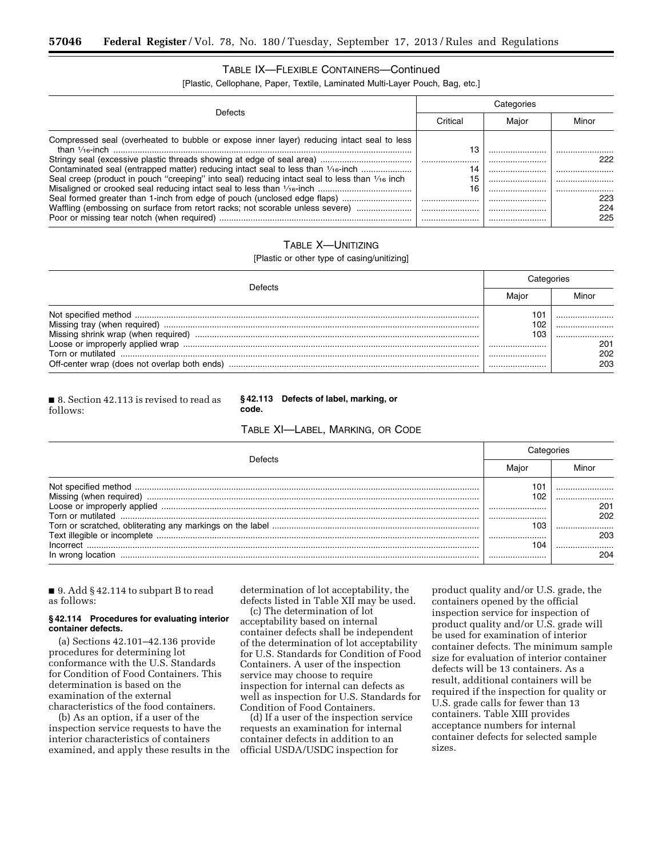### TABLE IX—FLEXIBLE CONTAINERS—Continued

[Plastic, Cellophane, Paper, Textile, Laminated Multi-Layer Pouch, Bag, etc.]

|                                                                                                                        | Categories |       |            |
|------------------------------------------------------------------------------------------------------------------------|------------|-------|------------|
| Defects                                                                                                                | Critical   | Maior | Minor      |
| Compressed seal (overheated to bubble or expose inner layer) reducing intact seal to less<br>than $\frac{1}{16}$ -inch | 13         |       |            |
|                                                                                                                        | 14         |       | 222        |
| Seal creep (product in pouch "creeping" into seal) reducing intact seal to less than $\frac{1}{16}$ inch               | 15         |       |            |
| Seal formed greater than 1-inch from edge of pouch (unclosed edge flaps)                                               | 16         |       | 223        |
| Waffling (embossing on surface from retort racks; not scorable unless severe)                                          |            |       | 224<br>225 |
|                                                                                                                        |            |       |            |

### TABLE X—UNITIZING

[Plastic or other type of casing/unitizing]

| <b>Defects</b>    | Cateαories                |                   |
|-------------------|---------------------------|-------------------|
|                   |                           | Minor             |
| Torn or mutilated | 101<br>102<br>103<br><br> | 201<br>202<br>203 |

■ 8. Section 42.113 is revised to read as follows:

#### **§ 42.113 Defects of label, marking, or code.**

TABLE XI—LABEL, MARKING, OR CODE

| Jetect            | ategories |       |
|-------------------|-----------|-------|
|                   |           | Minor |
|                   | 101       |       |
|                   | 102       |       |
|                   |           | 201   |
| Torn or mutilated |           | 202   |
|                   | 103       |       |
|                   |           | 203   |
|                   | 104       |       |
| In wrong location |           | 204   |

■ 9. Add § 42.114 to subpart B to read as follows:

#### **§ 42.114 Procedures for evaluating interior container defects.**

(a) Sections 42.101–42.136 provide procedures for determining lot conformance with the U.S. Standards for Condition of Food Containers. This determination is based on the examination of the external characteristics of the food containers.

(b) As an option, if a user of the inspection service requests to have the interior characteristics of containers examined, and apply these results in the determination of lot acceptability, the defects listed in Table XII may be used.

(c) The determination of lot acceptability based on internal container defects shall be independent of the determination of lot acceptability for U.S. Standards for Condition of Food Containers. A user of the inspection service may choose to require inspection for internal can defects as well as inspection for U.S. Standards for Condition of Food Containers.

(d) If a user of the inspection service requests an examination for internal container defects in addition to an official USDA/USDC inspection for

product quality and/or U.S. grade, the containers opened by the official inspection service for inspection of product quality and/or U.S. grade will be used for examination of interior container defects. The minimum sample size for evaluation of interior container defects will be 13 containers. As a result, additional containers will be required if the inspection for quality or U.S. grade calls for fewer than 13 containers. Table XIII provides acceptance numbers for internal container defects for selected sample sizes.